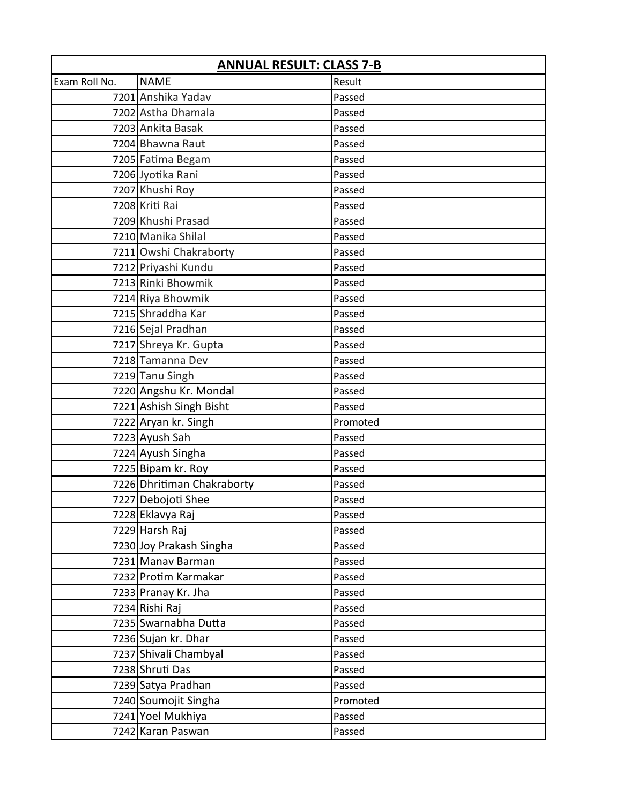| <b>ANNUAL RESULT: CLASS 7-B</b> |                            |          |
|---------------------------------|----------------------------|----------|
| Exam Roll No.                   | <b>NAME</b>                | Result   |
|                                 | 7201 Anshika Yadav         | Passed   |
|                                 | 7202 Astha Dhamala         | Passed   |
|                                 | 7203 Ankita Basak          | Passed   |
|                                 | 7204 Bhawna Raut           | Passed   |
|                                 | 7205 Fatima Begam          | Passed   |
|                                 | 7206 Jyotika Rani          | Passed   |
|                                 | 7207 Khushi Roy            | Passed   |
|                                 | 7208 Kriti Rai             | Passed   |
|                                 | 7209 Khushi Prasad         | Passed   |
|                                 | 7210 Manika Shilal         | Passed   |
|                                 | 7211 Owshi Chakraborty     | Passed   |
|                                 | 7212 Priyashi Kundu        | Passed   |
|                                 | 7213 Rinki Bhowmik         | Passed   |
|                                 | 7214 Riya Bhowmik          | Passed   |
|                                 | 7215 Shraddha Kar          | Passed   |
|                                 | 7216 Sejal Pradhan         | Passed   |
|                                 | 7217 Shreya Kr. Gupta      | Passed   |
|                                 | 7218 Tamanna Dev           | Passed   |
|                                 | 7219 Tanu Singh            | Passed   |
|                                 | 7220 Angshu Kr. Mondal     | Passed   |
|                                 | 7221 Ashish Singh Bisht    | Passed   |
|                                 | 7222 Aryan kr. Singh       | Promoted |
|                                 | 7223 Ayush Sah             | Passed   |
|                                 | 7224 Ayush Singha          | Passed   |
|                                 | 7225 Bipam kr. Roy         | Passed   |
|                                 | 7226 Dhritiman Chakraborty | Passed   |
|                                 | 7227 Debojoti Shee         | Passed   |
|                                 | 7228 Eklavya Raj           | Passed   |
|                                 | 7229 Harsh Raj             | Passed   |
|                                 | 7230 Joy Prakash Singha    | Passed   |
|                                 | 7231 Manav Barman          | Passed   |
|                                 | 7232 Protim Karmakar       | Passed   |
|                                 | 7233 Pranay Kr. Jha        | Passed   |
|                                 | 7234 Rishi Raj             | Passed   |
|                                 | 7235 Swarnabha Dutta       | Passed   |
|                                 | 7236 Sujan kr. Dhar        | Passed   |
|                                 | 7237 Shivali Chambyal      | Passed   |
|                                 | 7238 Shruti Das            | Passed   |
|                                 | 7239 Satya Pradhan         | Passed   |
|                                 | 7240 Soumojit Singha       | Promoted |
|                                 | 7241 Yoel Mukhiya          | Passed   |
|                                 | 7242 Karan Paswan          | Passed   |